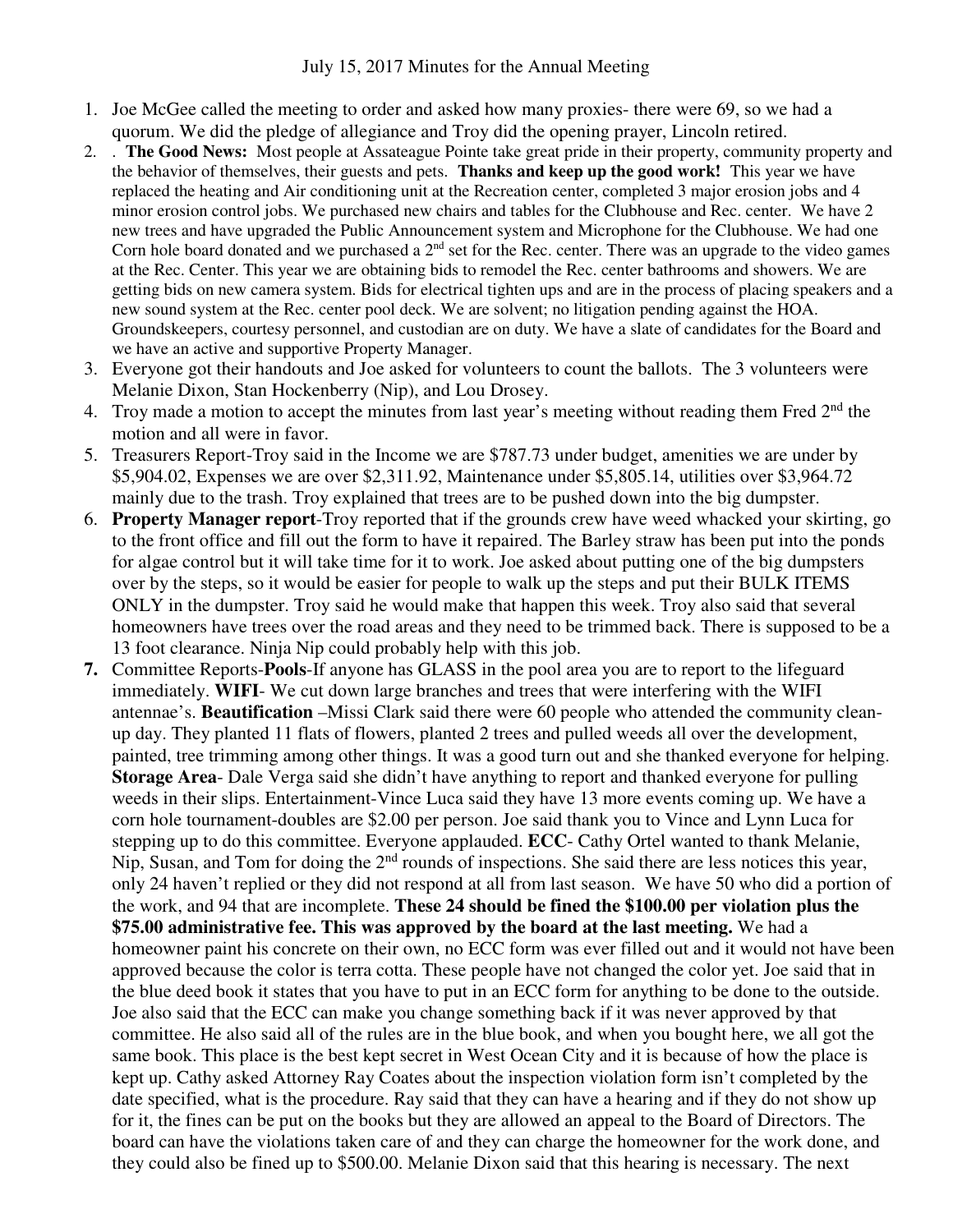- 1. Joe McGee called the meeting to order and asked how many proxies- there were 69, so we had a quorum. We did the pledge of allegiance and Troy did the opening prayer, Lincoln retired.
- 2. . **The Good News:** Most people at Assateague Pointe take great pride in their property, community property and the behavior of themselves, their guests and pets. **Thanks and keep up the good work!** This year we have replaced the heating and Air conditioning unit at the Recreation center, completed 3 major erosion jobs and 4 minor erosion control jobs. We purchased new chairs and tables for the Clubhouse and Rec. center. We have 2 new trees and have upgraded the Public Announcement system and Microphone for the Clubhouse. We had one Corn hole board donated and we purchased a  $2<sup>nd</sup>$  set for the Rec. center. There was an upgrade to the video games at the Rec. Center. This year we are obtaining bids to remodel the Rec. center bathrooms and showers. We are getting bids on new camera system. Bids for electrical tighten ups and are in the process of placing speakers and a new sound system at the Rec. center pool deck. We are solvent; no litigation pending against the HOA. Groundskeepers, courtesy personnel, and custodian are on duty. We have a slate of candidates for the Board and we have an active and supportive Property Manager.
- 3. Everyone got their handouts and Joe asked for volunteers to count the ballots. The 3 volunteers were Melanie Dixon, Stan Hockenberry (Nip), and Lou Drosey.
- 4. Troy made a motion to accept the minutes from last year's meeting without reading them Fred 2<sup>nd</sup> the motion and all were in favor.
- 5. Treasurers Report-Troy said in the Income we are \$787.73 under budget, amenities we are under by \$5,904.02, Expenses we are over \$2,311.92, Maintenance under \$5,805.14, utilities over \$3,964.72 mainly due to the trash. Troy explained that trees are to be pushed down into the big dumpster.
- 6. **Property Manager report**-Troy reported that if the grounds crew have weed whacked your skirting, go to the front office and fill out the form to have it repaired. The Barley straw has been put into the ponds for algae control but it will take time for it to work. Joe asked about putting one of the big dumpsters over by the steps, so it would be easier for people to walk up the steps and put their BULK ITEMS ONLY in the dumpster. Troy said he would make that happen this week. Troy also said that several homeowners have trees over the road areas and they need to be trimmed back. There is supposed to be a 13 foot clearance. Ninja Nip could probably help with this job.
- **7.** Committee Reports-**Pools**-If anyone has GLASS in the pool area you are to report to the lifeguard immediately. **WIFI**- We cut down large branches and trees that were interfering with the WIFI antennae's. **Beautification** –Missi Clark said there were 60 people who attended the community cleanup day. They planted 11 flats of flowers, planted 2 trees and pulled weeds all over the development, painted, tree trimming among other things. It was a good turn out and she thanked everyone for helping. **Storage Area**- Dale Verga said she didn't have anything to report and thanked everyone for pulling weeds in their slips. Entertainment-Vince Luca said they have 13 more events coming up. We have a corn hole tournament-doubles are \$2.00 per person. Joe said thank you to Vince and Lynn Luca for stepping up to do this committee. Everyone applauded. **ECC**- Cathy Ortel wanted to thank Melanie, Nip, Susan, and Tom for doing the 2<sup>nd</sup> rounds of inspections. She said there are less notices this year, only 24 haven't replied or they did not respond at all from last season. We have 50 who did a portion of the work, and 94 that are incomplete. **These 24 should be fined the \$100.00 per violation plus the \$75.00 administrative fee. This was approved by the board at the last meeting.** We had a homeowner paint his concrete on their own, no ECC form was ever filled out and it would not have been approved because the color is terra cotta. These people have not changed the color yet. Joe said that in the blue deed book it states that you have to put in an ECC form for anything to be done to the outside. Joe also said that the ECC can make you change something back if it was never approved by that committee. He also said all of the rules are in the blue book, and when you bought here, we all got the same book. This place is the best kept secret in West Ocean City and it is because of how the place is kept up. Cathy asked Attorney Ray Coates about the inspection violation form isn't completed by the date specified, what is the procedure. Ray said that they can have a hearing and if they do not show up for it, the fines can be put on the books but they are allowed an appeal to the Board of Directors. The board can have the violations taken care of and they can charge the homeowner for the work done, and they could also be fined up to \$500.00. Melanie Dixon said that this hearing is necessary. The next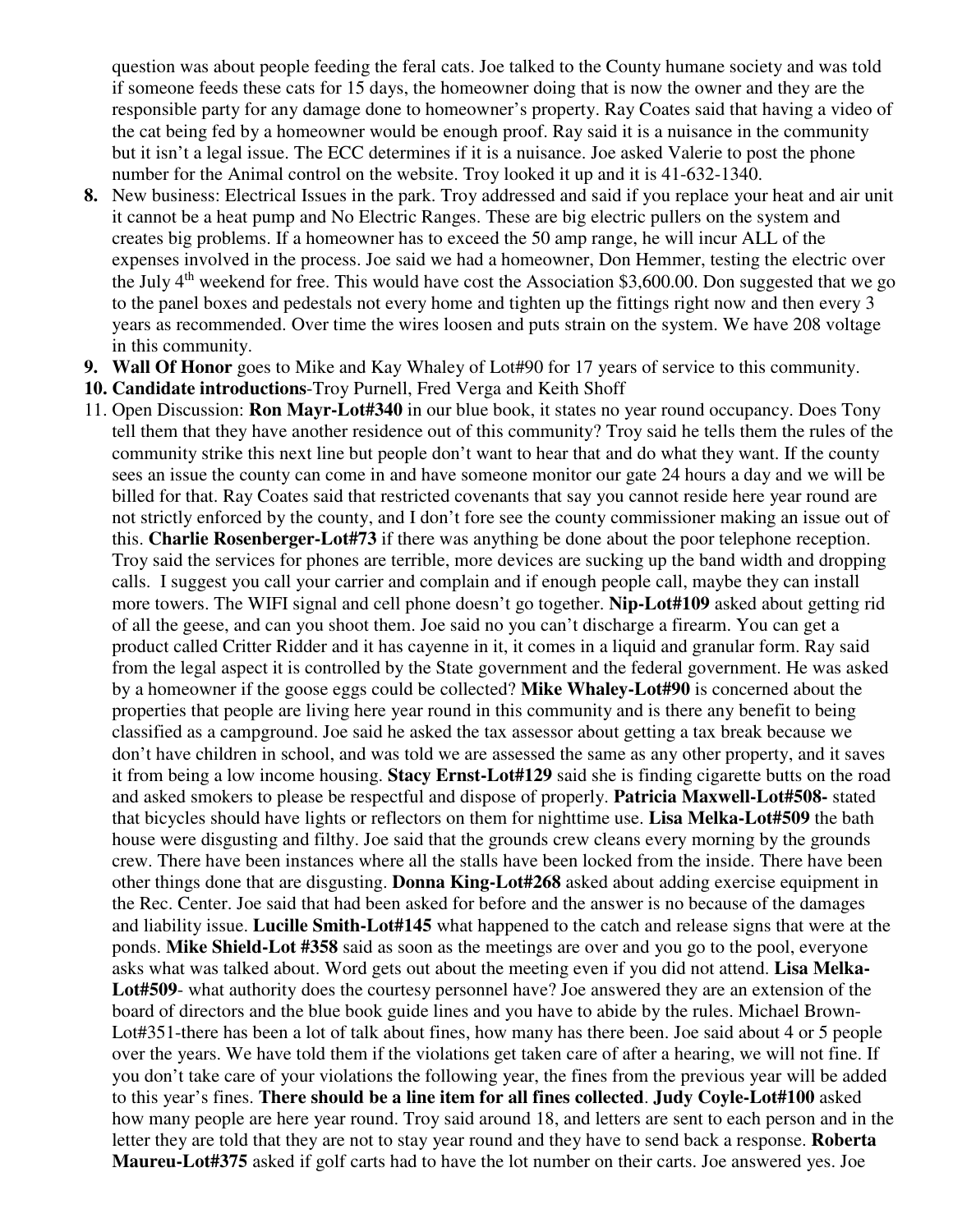question was about people feeding the feral cats. Joe talked to the County humane society and was told if someone feeds these cats for 15 days, the homeowner doing that is now the owner and they are the responsible party for any damage done to homeowner's property. Ray Coates said that having a video of the cat being fed by a homeowner would be enough proof. Ray said it is a nuisance in the community but it isn't a legal issue. The ECC determines if it is a nuisance. Joe asked Valerie to post the phone number for the Animal control on the website. Troy looked it up and it is 41-632-1340.

- **8.** New business: Electrical Issues in the park. Troy addressed and said if you replace your heat and air unit it cannot be a heat pump and No Electric Ranges. These are big electric pullers on the system and creates big problems. If a homeowner has to exceed the 50 amp range, he will incur ALL of the expenses involved in the process. Joe said we had a homeowner, Don Hemmer, testing the electric over the July  $4<sup>th</sup>$  weekend for free. This would have cost the Association \$3,600.00. Don suggested that we go to the panel boxes and pedestals not every home and tighten up the fittings right now and then every 3 years as recommended. Over time the wires loosen and puts strain on the system. We have 208 voltage in this community.
- **9. Wall Of Honor** goes to Mike and Kay Whaley of Lot#90 for 17 years of service to this community.
- **10. Candidate introductions**-Troy Purnell, Fred Verga and Keith Shoff
- 11. Open Discussion: **Ron Mayr-Lot#340** in our blue book, it states no year round occupancy. Does Tony tell them that they have another residence out of this community? Troy said he tells them the rules of the community strike this next line but people don't want to hear that and do what they want. If the county sees an issue the county can come in and have someone monitor our gate 24 hours a day and we will be billed for that. Ray Coates said that restricted covenants that say you cannot reside here year round are not strictly enforced by the county, and I don't fore see the county commissioner making an issue out of this. **Charlie Rosenberger-Lot#73** if there was anything be done about the poor telephone reception. Troy said the services for phones are terrible, more devices are sucking up the band width and dropping calls. I suggest you call your carrier and complain and if enough people call, maybe they can install more towers. The WIFI signal and cell phone doesn't go together. **Nip-Lot#109** asked about getting rid of all the geese, and can you shoot them. Joe said no you can't discharge a firearm. You can get a product called Critter Ridder and it has cayenne in it, it comes in a liquid and granular form. Ray said from the legal aspect it is controlled by the State government and the federal government. He was asked by a homeowner if the goose eggs could be collected? **Mike Whaley-Lot#90** is concerned about the properties that people are living here year round in this community and is there any benefit to being classified as a campground. Joe said he asked the tax assessor about getting a tax break because we don't have children in school, and was told we are assessed the same as any other property, and it saves it from being a low income housing. **Stacy Ernst-Lot#129** said she is finding cigarette butts on the road and asked smokers to please be respectful and dispose of properly. **Patricia Maxwell-Lot#508-** stated that bicycles should have lights or reflectors on them for nighttime use. **Lisa Melka-Lot#509** the bath house were disgusting and filthy. Joe said that the grounds crew cleans every morning by the grounds crew. There have been instances where all the stalls have been locked from the inside. There have been other things done that are disgusting. **Donna King-Lot#268** asked about adding exercise equipment in the Rec. Center. Joe said that had been asked for before and the answer is no because of the damages and liability issue. **Lucille Smith-Lot#145** what happened to the catch and release signs that were at the ponds. **Mike Shield-Lot #358** said as soon as the meetings are over and you go to the pool, everyone asks what was talked about. Word gets out about the meeting even if you did not attend. **Lisa Melka-Lot#509**- what authority does the courtesy personnel have? Joe answered they are an extension of the board of directors and the blue book guide lines and you have to abide by the rules. Michael Brown-Lot#351-there has been a lot of talk about fines, how many has there been. Joe said about 4 or 5 people over the years. We have told them if the violations get taken care of after a hearing, we will not fine. If you don't take care of your violations the following year, the fines from the previous year will be added to this year's fines. **There should be a line item for all fines collected**. **Judy Coyle-Lot#100** asked how many people are here year round. Troy said around 18, and letters are sent to each person and in the letter they are told that they are not to stay year round and they have to send back a response. **Roberta Maureu-Lot#375** asked if golf carts had to have the lot number on their carts. Joe answered yes. Joe